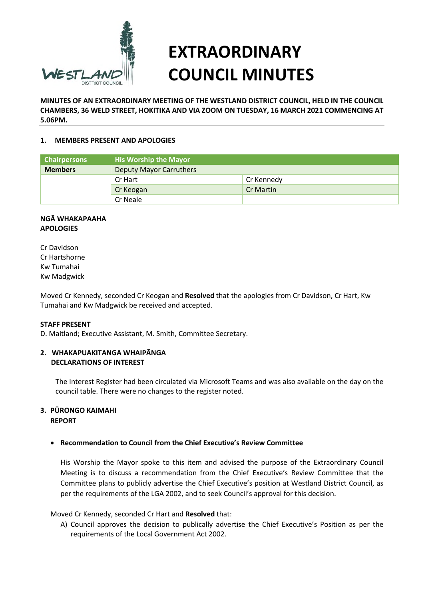

# **EXTRAORDINARY COUNCIL MINUTES**

**MINUTES OF AN EXTRAORDINARY MEETING OF THE WESTLAND DISTRICT COUNCIL, HELD IN THE COUNCIL CHAMBERS, 36 WELD STREET, HOKITIKA AND VIA ZOOM ON TUESDAY, 16 MARCH 2021 COMMENCING AT 5.06PM.** 

## **1. MEMBERS PRESENT AND APOLOGIES**

| <b>Chairpersons</b> | <b>His Worship the Mayor</b>   |            |
|---------------------|--------------------------------|------------|
| <b>Members</b>      | <b>Deputy Mayor Carruthers</b> |            |
|                     | Cr Hart                        | Cr Kennedy |
|                     | Cr Keogan                      | Cr Martin  |
|                     | Cr Neale                       |            |

## **NGĀ WHAKAPAAHA APOLOGIES**

Cr Davidson Cr Hartshorne Kw Tumahai Kw Madgwick

Moved Cr Kennedy, seconded Cr Keogan and **Resolved** that the apologies from Cr Davidson, Cr Hart, Kw Tumahai and Kw Madgwick be received and accepted.

#### **STAFF PRESENT**

D. Maitland; Executive Assistant, M. Smith, Committee Secretary.

#### **2. WHAKAPUAKITANGA WHAIPĀNGA DECLARATIONS OF INTEREST**

The Interest Register had been circulated via Microsoft Teams and was also available on the day on the council table. There were no changes to the register noted.

#### **3. PŪRONGO KAIMAHI REPORT**

# **Recommendation to Council from the Chief Executive's Review Committee**

His Worship the Mayor spoke to this item and advised the purpose of the Extraordinary Council Meeting is to discuss a recommendation from the Chief Executive's Review Committee that the Committee plans to publicly advertise the Chief Executive's position at Westland District Council, as per the requirements of the LGA 2002, and to seek Council's approval for this decision.

#### Moved Cr Kennedy, seconded Cr Hart and **Resolved** that:

A) Council approves the decision to publically advertise the Chief Executive's Position as per the requirements of the Local Government Act 2002.